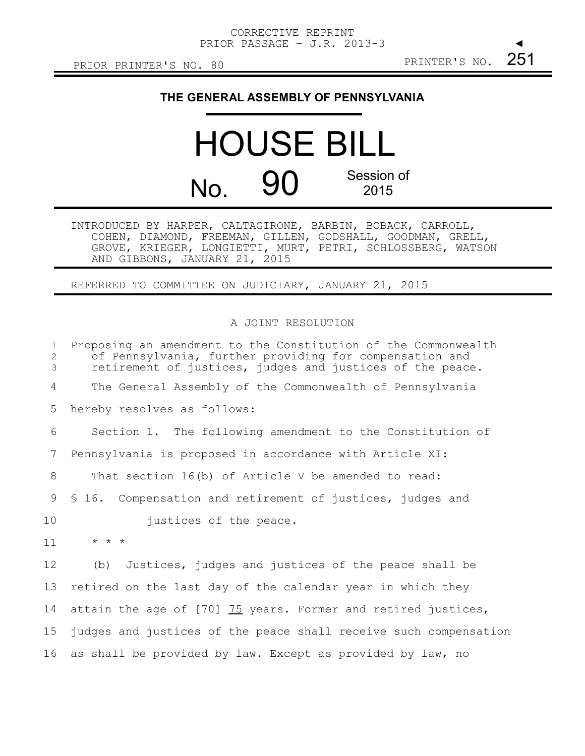## **THE GENERAL ASSEMBLY OF PENNSYLVANIA**

## HOUSE BILL No. 90 Session of 2015

INTRODUCED BY HARPER, CALTAGIRONE, BARBIN, BOBACK, CARROLL, COHEN, DIAMOND, FREEMAN, GILLEN, GODSHALL, GOODMAN, GRELL, GROVE, KRIEGER, LONGIETTI, MURT, PETRI, SCHLOSSBERG, WATSON AND GIBBONS, JANUARY 21, 2015

REFERRED TO COMMITTEE ON JUDICIARY, JANUARY 21, 2015

## A JOINT RESOLUTION

| $\mathbf{1}$<br>$\mathbf{2}$<br>3 | Proposing an amendment to the Constitution of the Commonwealth<br>of Pennsylvania, further providing for compensation and<br>retirement of justices, judges and justices of the peace. |
|-----------------------------------|----------------------------------------------------------------------------------------------------------------------------------------------------------------------------------------|
| 4                                 | The General Assembly of the Commonwealth of Pennsylvania                                                                                                                               |
| 5                                 | hereby resolves as follows:                                                                                                                                                            |
| 6                                 | Section 1. The following amendment to the Constitution of                                                                                                                              |
| 7                                 | Pennsylvania is proposed in accordance with Article XI:                                                                                                                                |
| 8                                 | That section 16(b) of Article V be amended to read:                                                                                                                                    |
| 9                                 | § 16. Compensation and retirement of justices, judges and                                                                                                                              |
| 10                                | justices of the peace.                                                                                                                                                                 |
| 11                                | $\star$ $\star$ $\star$                                                                                                                                                                |
| 12                                | Justices, judges and justices of the peace shall be<br>(b)                                                                                                                             |
| 13                                | retired on the last day of the calendar year in which they                                                                                                                             |
| 14                                | attain the age of [70] 75 years. Former and retired justices,                                                                                                                          |
| 15                                | judges and justices of the peace shall receive such compensation                                                                                                                       |
| 16                                | as shall be provided by law. Except as provided by law, no                                                                                                                             |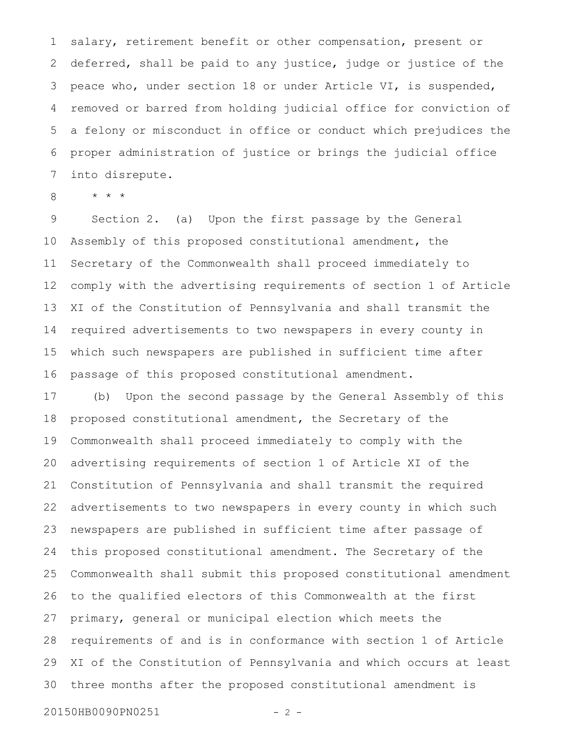salary, retirement benefit or other compensation, present or deferred, shall be paid to any justice, judge or justice of the peace who, under section 18 or under Article VI, is suspended, removed or barred from holding judicial office for conviction of a felony or misconduct in office or conduct which prejudices the proper administration of justice or brings the judicial office into disrepute. 1 2 3 4 5 6 7

\* \* \* 8

Section 2. (a) Upon the first passage by the General Assembly of this proposed constitutional amendment, the Secretary of the Commonwealth shall proceed immediately to comply with the advertising requirements of section 1 of Article XI of the Constitution of Pennsylvania and shall transmit the required advertisements to two newspapers in every county in which such newspapers are published in sufficient time after passage of this proposed constitutional amendment. 9 10 11 12 13 14 15 16

(b) Upon the second passage by the General Assembly of this proposed constitutional amendment, the Secretary of the Commonwealth shall proceed immediately to comply with the advertising requirements of section 1 of Article XI of the Constitution of Pennsylvania and shall transmit the required advertisements to two newspapers in every county in which such newspapers are published in sufficient time after passage of this proposed constitutional amendment. The Secretary of the Commonwealth shall submit this proposed constitutional amendment to the qualified electors of this Commonwealth at the first primary, general or municipal election which meets the requirements of and is in conformance with section 1 of Article XI of the Constitution of Pennsylvania and which occurs at least three months after the proposed constitutional amendment is 17 18 19 20 21 22 23 24 25 26 27 28 29 30

20150HB0090PN0251 - 2 -